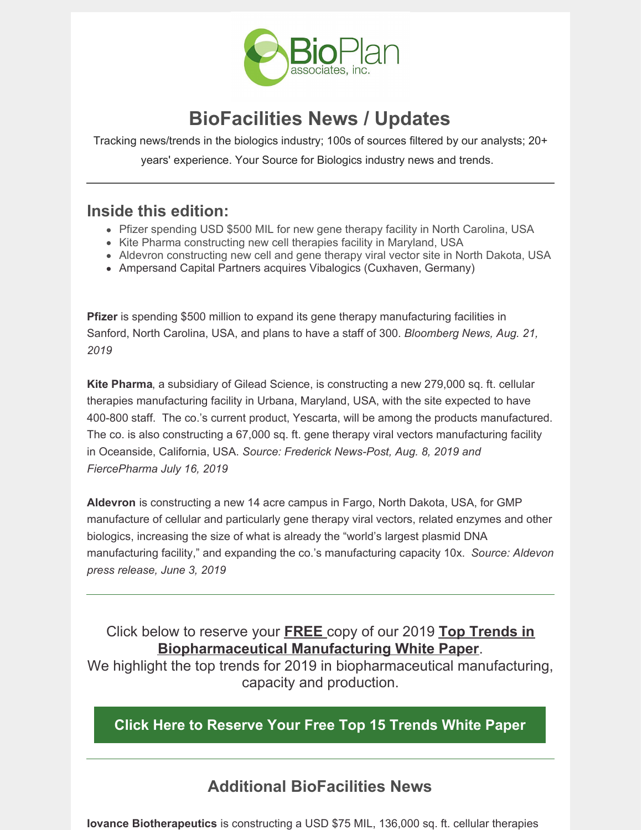

# **BioFacilities News / Updates**

Tracking news/trends in the biologics industry; 100s of sources filtered by our analysts; 20+ years' experience. Your Source for Biologics industry news and trends.

### **Inside this edition:**

- Pfizer spending USD \$500 MIL for new gene therapy facility in North Carolina, USA
- Kite Pharma constructing new cell therapies facility in Maryland, USA
- Aldevron constructing new cell and gene therapy viral vector site in North Dakota, USA
- Ampersand Capital Partners acquires Vibalogics (Cuxhaven, Germany)

**Pfizer** is spending \$500 million to expand its gene therapy manufacturing facilities in Sanford, North Carolina, USA, and plans to have a staff of 300. *Bloomberg News, Aug. 21, 2019*

**Kite Pharma**, a subsidiary of Gilead Science, is constructing a new 279,000 sq. ft. cellular therapies manufacturing facility in Urbana, Maryland, USA, with the site expected to have 400-800 staff. The co.'s current product, Yescarta, will be among the products manufactured. The co. is also constructing a 67,000 sq. ft. gene therapy viral vectors manufacturing facility in Oceanside, California, USA. *Source: Frederick News-Post, Aug. 8, 2019 and FiercePharma July 16, 2019*

**Aldevron** is constructing a new 14 acre campus in Fargo, North Dakota, USA, for GMP manufacture of cellular and particularly gene therapy viral vectors, related enzymes and other biologics, increasing the size of what is already the "world's largest plasmid DNA manufacturing facility," and expanding the co.'s manufacturing capacity 10x. *Source: Aldevon press release, June 3, 2019*

Click below to reserve your **FREE** copy of our 2019 **Top Trends in Biopharmaceutical Manufacturing White Paper**.

We highlight the top trends for 2019 in biopharmaceutical manufacturing, capacity and production.

**Click Here to [Reserve](mailto:dgillespie@bioplanassociates.com?subject=Top 15 Biopharma Trends White Paper&body=I) Your Free Top 15 Trends White Paper**

### **Additional BioFacilities News**

**Iovance Biotherapeutics** is constructing a USD \$75 MIL, 136,000 sq. ft. cellular therapies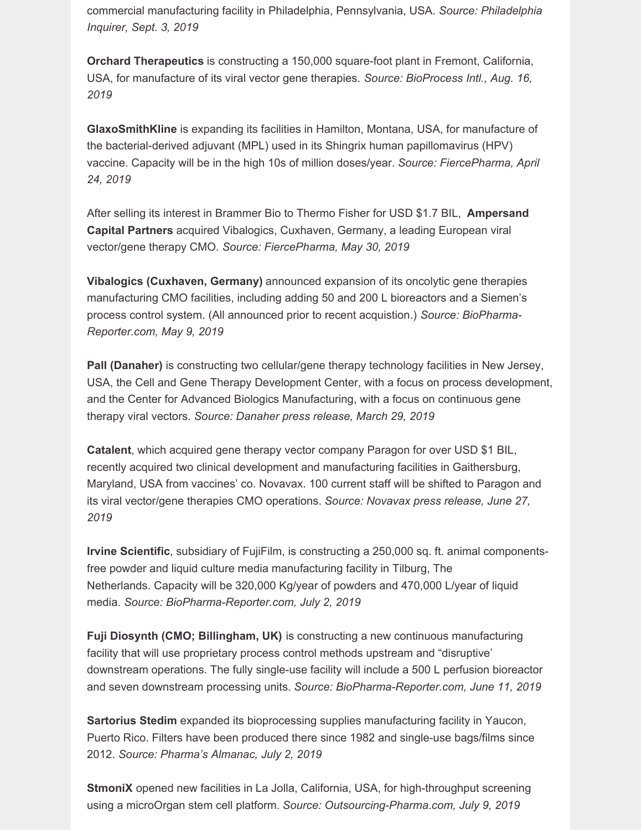commercial manufacturing facility in Philadelphia, Pennsylvania, USA. *Source: Philadelphia Inquirer, Sept. 3, 2019*

**Orchard Therapeutics** is constructing a 150,000 square-foot plant in Fremont, California, USA, for manufacture of its viral vector gene therapies. *Source: BioProcess Intl., Aug. 16, 2019*

**GlaxoSmithKline** is expanding its facilities in Hamilton, Montana, USA, for manufacture of the bacterial-derived adjuvant (MPL) used in its Shingrix human papillomavirus (HPV) vaccine. Capacity will be in the high 10s of million doses/year. *Source: FiercePharma, April 24, 2019*

After selling its interest in Brammer Bio to Thermo Fisher for USD \$1.7 BIL, **Ampersand Capital Partners** acquired Vibalogics, Cuxhaven, Germany, a leading European viral vector/gene therapy CMO. *Source: FiercePharma, May 30, 2019*

**Vibalogics (Cuxhaven, Germany)** announced expansion of its oncolytic gene therapies manufacturing CMO facilities, including adding 50 and 200 L bioreactors and a Siemen's process control system. (All announced prior to recent acquistion.) *Source: BioPharma-Reporter.com, May 9, 2019*

**Pall (Danaher)** is constructing two cellular/gene therapy technology facilities in New Jersey, USA, the Cell and Gene Therapy Development Center, with a focus on process development, and the Center for Advanced Biologics Manufacturing, with a focus on continuous gene therapy viral vectors. *Source: Danaher press release, March 29, 2019*

**Catalent**, which acquired gene therapy vector company Paragon for over USD \$1 BIL, recently acquired two clinical development and manufacturing facilities in Gaithersburg, Maryland, USA from vaccines' co. Novavax. 100 current staff will be shifted to Paragon and its viral vector/gene therapies CMO operations. *Source: Novavax press release, June 27, 2019*

**Irvine Scientific**, subsidiary of FujiFilm, is constructing a 250,000 sq. ft. animal componentsfree powder and liquid culture media manufacturing facility in Tilburg, The Netherlands. Capacity will be 320,000 Kg/year of powders and 470,000 L/year of liquid media. *Source: BioPharma-Reporter.com, July 2, 2019*

**Fuji Diosynth (CMO; Billingham, UK)** is constructing a new continuous manufacturing facility that will use proprietary process control methods upstream and "disruptive' downstream operations. The fully single-use facility will include a 500 L perfusion bioreactor and seven downstream processing units. *Source: BioPharma-Reporter.com, June 11, 2019*

**Sartorius Stedim** expanded its bioprocessing supplies manufacturing facility in Yaucon, Puerto Rico. Filters have been produced there since 1982 and single-use bags/films since 2012. *Source: Pharma's Almanac, July 2, 2019*

**StmoniX** opened new facilities in La Jolla, California, USA, for high-throughput screening using a microOrgan stem cell platform. *Source: Outsourcing-Pharma.com, July 9, 2019*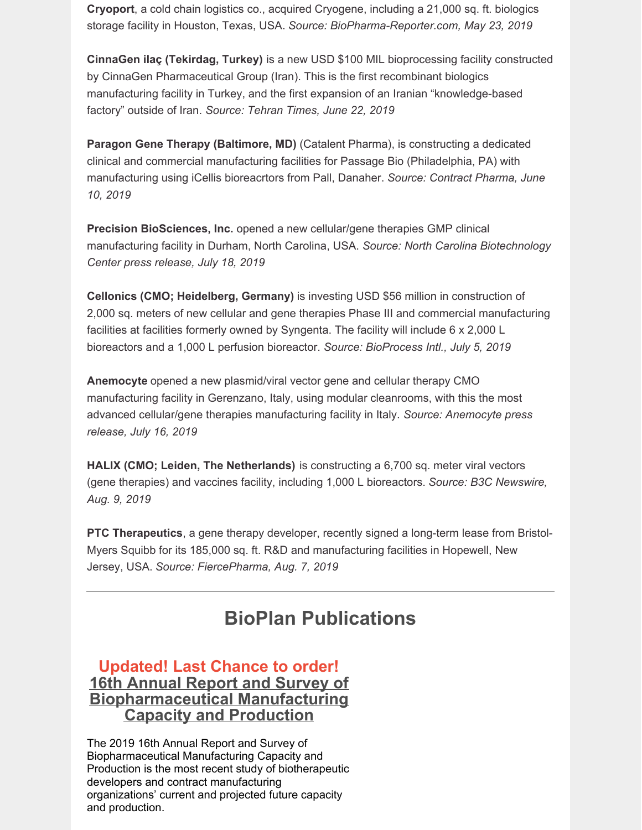**Cryoport**, a cold chain logistics co., acquired Cryogene, including a 21,000 sq. ft. biologics storage facility in Houston, Texas, USA. *Source: BioPharma-Reporter.com, May 23, 2019*

**CinnaGen ilaç (Tekirdag, Turkey)** is a new USD \$100 MIL bioprocessing facility constructed by CinnaGen Pharmaceutical Group (Iran). This is the first recombinant biologics manufacturing facility in Turkey, and the first expansion of an Iranian "knowledge-based factory" outside of Iran. *Source: Tehran Times, June 22, 2019*

**Paragon Gene Therapy (Baltimore, MD)** (Catalent Pharma), is constructing a dedicated clinical and commercial manufacturing facilities for Passage Bio (Philadelphia, PA) with manufacturing using iCellis bioreacrtors from Pall, Danaher. *Source: Contract Pharma, June 10, 2019*

**Precision BioSciences, Inc.** opened a new cellular/gene therapies GMP clinical manufacturing facility in Durham, North Carolina, USA. *Source: North Carolina Biotechnology Center press release, July 18, 2019*

**Cellonics (CMO; Heidelberg, Germany)** is investing USD \$56 million in construction of 2,000 sq. meters of new cellular and gene therapies Phase III and commercial manufacturing facilities at facilities formerly owned by Syngenta. The facility will include 6 x 2,000 L bioreactors and a 1,000 L perfusion bioreactor. *Source: BioProcess Intl., July 5, 2019*

**Anemocyte** opened a new plasmid/viral vector gene and cellular therapy CMO manufacturing facility in Gerenzano, Italy, using modular cleanrooms, with this the most advanced cellular/gene therapies manufacturing facility in Italy. *Source: Anemocyte press release, July 16, 2019*

**HALIX (CMO; Leiden, The Netherlands)** is constructing a 6,700 sq. meter viral vectors (gene therapies) and vaccines facility, including 1,000 L bioreactors. *Source: B3C Newswire, Aug. 9, 2019*

**PTC Therapeutics**, a gene therapy developer, recently signed a long-term lease from Bristol-Myers Squibb for its 185,000 sq. ft. R&D and manufacturing facilities in Hopewell, New Jersey, USA. *Source: FiercePharma, Aug. 7, 2019*

# **BioPlan Publications**

#### **Updated! Last Chance to order! 16th Annual Report and Survey of [Biopharmaceutical](http://bioplanassociates.com/16th/) Manufacturing Capacity and Production**

The 2019 16th Annual Report and Survey of Biopharmaceutical Manufacturing Capacity and Production is the most recent study of biotherapeutic developers and contract manufacturing organizations' current and projected future capacity and production.